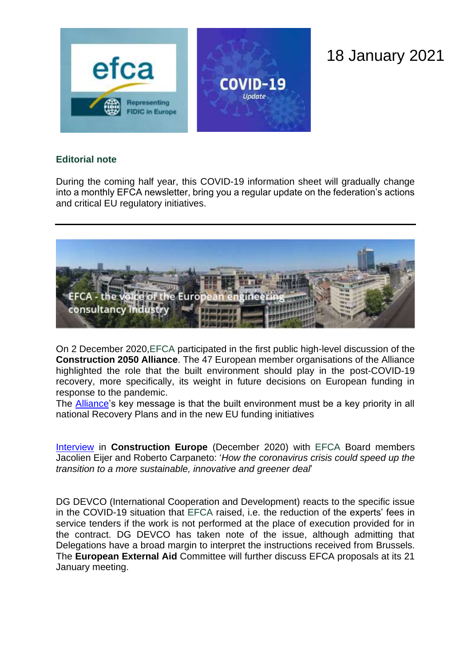

## 18 January 2021

## **Editorial note**

During the coming half year, this COVID-19 information sheet will gradually change into a monthly EFCA newsletter, bring you a regular update on the federation's actions and critical EU regulatory initiatives.



On 2 December 2020,EFCA participated in the first public high-level discussion of the **Construction 2050 Alliance**. The 47 European member organisations of the Alliance highlighted the role that the built environment should play in the post-COVID-19 recovery, more specifically, its weight in future decisions on European funding in response to the pandemic.

The **Alliance**'s key message is that the built environment must be a key priority in all national Recovery Plans and in the new EU funding initiatives

[Interview](https://www.efca.be/news/how-coronavirus-crisis-could-speed-transition-more-sustainable-innovative-and-greener-deal) in **Construction Europe** (December 2020) with EFCA Board members Jacolien Eijer and Roberto Carpaneto: '*How the coronavirus crisis could speed up the transition to a more sustainable, innovative and greener deal*'

DG DEVCO (International Cooperation and Development) reacts to the specific issue in the COVID-19 situation that EFCA raised, i.e. the reduction of the experts' fees in service tenders if the work is not performed at the place of execution provided for in the contract. DG DEVCO has taken note of the issue, although admitting that Delegations have a broad margin to interpret the instructions received from Brussels. The **European External Aid** Committee will further discuss EFCA proposals at its 21 January meeting.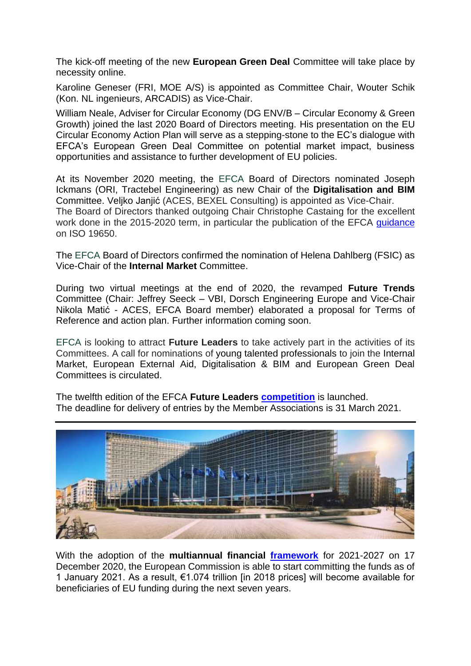The kick-off meeting of the new **European Green Deal** Committee will take place by necessity online.

Karoline Geneser (FRI, MOE A/S) is appointed as Committee Chair, Wouter Schik (Kon. NL ingenieurs, ARCADIS) as Vice-Chair.

William Neale, Adviser for Circular Economy (DG ENV/B – Circular Economy & Green Growth) joined the last 2020 Board of Directors meeting. His presentation on the EU Circular Economy Action Plan will serve as a stepping-stone to the EC's dialogue with EFCA's European Green Deal Committee on potential market impact, business opportunities and assistance to further development of EU policies.

At its November 2020 meeting, the EFCA Board of Directors nominated Joseph Ickmans (ORI, Tractebel Engineering) as new Chair of the **Digitalisation and BIM**  Committee. Veljko Janjić (ACES, BEXEL Consulting) is appointed as Vice-Chair. The Board of Directors thanked outgoing Chair Christophe Castaing for the excellent work done in the 2015-2020 term, in particular the publication of the EFCA quidance on ISO 19650.

The EFCA Board of Directors confirmed the nomination of Helena Dahlberg (FSIC) as Vice-Chair of the **Internal Market** Committee.

During two virtual meetings at the end of 2020, the revamped **Future Trends** Committee (Chair: Jeffrey Seeck – VBI, Dorsch Engineering Europe and Vice-Chair Nikola Matić - ACES, EFCA Board member) elaborated a proposal for Terms of Reference and action plan. Further information coming soon.

EFCA is looking to attract **Future Leaders** to take actively part in the activities of its Committees. A call for nominations of young talented professionals to join the Internal Market, European External Aid, Digitalisation & BIM and European Green Deal Committees is circulated.

The twelfth edition of the EFCA **Future Leaders [competition](https://www.efcanet.org/news/announcement-efca-future-leaders-competition-2021)** is launched. The deadline for delivery of entries by the Member Associations is 31 March 2021.

With the adoption of the **multiannual financial [framework](https://ec.europa.eu/info/strategy/eu-budget/long-term-eu-budget/eu-budget-2021-2027_en)** for 2021-2027 on 17 December 2020, the European Commission is able to start committing the funds as of 1 January 2021. As a result, €1.074 trillion [in 2018 prices] will become available for beneficiaries of EU funding during the next seven years.